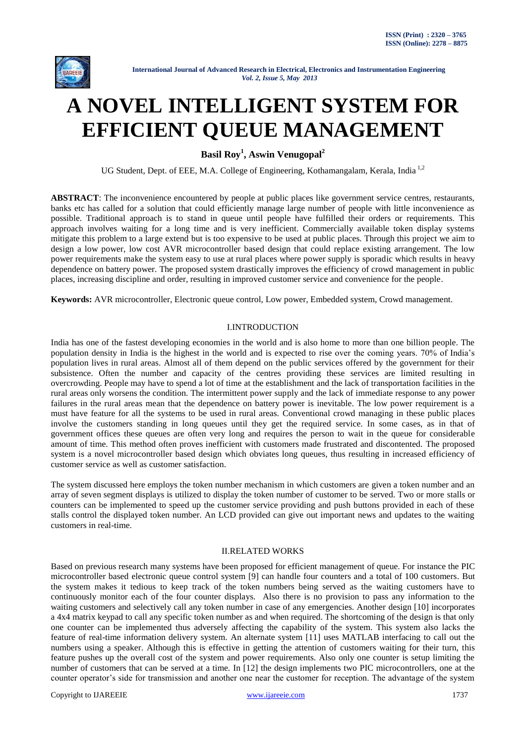

# **A NOVEL INTELLIGENT SYSTEM FOR EFFICIENT QUEUE MANAGEMENT**

**Basil Roy<sup>1</sup> , Aswin Venugopal<sup>2</sup>**

UG Student, Dept. of EEE, M.A. College of Engineering, Kothamangalam, Kerala, India<sup>1,2</sup>

**ABSTRACT**: The inconvenience encountered by people at public places like government service centres, restaurants, banks etc has called for a solution that could efficiently manage large number of people with little inconvenience as possible. Traditional approach is to stand in queue until people have fulfilled their orders or requirements. This approach involves waiting for a long time and is very inefficient. Commercially available token display systems mitigate this problem to a large extend but is too expensive to be used at public places. Through this project we aim to design a low power, low cost AVR microcontroller based design that could replace existing arrangement. The low power requirements make the system easy to use at rural places where power supply is sporadic which results in heavy dependence on battery power. The proposed system drastically improves the efficiency of crowd management in public places, increasing discipline and order, resulting in improved customer service and convenience for the people.

**Keywords:** AVR microcontroller, Electronic queue control, Low power, Embedded system, Crowd management.

#### I.INTRODUCTION

India has one of the fastest developing economies in the world and is also home to more than one billion people. The population density in India is the highest in the world and is expected to rise over the coming years. 70% of India's population lives in rural areas. Almost all of them depend on the public services offered by the government for their subsistence. Often the number and capacity of the centres providing these services are limited resulting in overcrowding. People may have to spend a lot of time at the establishment and the lack of transportation facilities in the rural areas only worsens the condition. The intermittent power supply and the lack of immediate response to any power failures in the rural areas mean that the dependence on battery power is inevitable. The low power requirement is a must have feature for all the systems to be used in rural areas. Conventional crowd managing in these public places involve the customers standing in long queues until they get the required service. In some cases, as in that of government offices these queues are often very long and requires the person to wait in the queue for considerable amount of time. This method often proves inefficient with customers made frustrated and discontented. The proposed system is a novel microcontroller based design which obviates long queues, thus resulting in increased efficiency of customer service as well as customer satisfaction.

The system discussed here employs the token number mechanism in which customers are given a token number and an array of seven segment displays is utilized to display the token number of customer to be served. Two or more stalls or counters can be implemented to speed up the customer service providing and push buttons provided in each of these stalls control the displayed token number. An LCD provided can give out important news and updates to the waiting customers in real-time.

#### II.RELATED WORKS

Based on previous research many systems have been proposed for efficient management of queue. For instance the PIC microcontroller based electronic queue control system [9] can handle four counters and a total of 100 customers. But the system makes it tedious to keep track of the token numbers being served as the waiting customers have to continuously monitor each of the four counter displays. Also there is no provision to pass any information to the waiting customers and selectively call any token number in case of any emergencies. Another design [10] incorporates a 4x4 matrix keypad to call any specific token number as and when required. The shortcoming of the design is that only one counter can be implemented thus adversely affecting the capability of the system. This system also lacks the feature of real-time information delivery system. An alternate system [11] uses MATLAB interfacing to call out the numbers using a speaker. Although this is effective in getting the attention of customers waiting for their turn, this feature pushes up the overall cost of the system and power requirements. Also only one counter is setup limiting the number of customers that can be served at a time. In [12] the design implements two PIC microcontrollers, one at the counter operator's side for transmission and another one near the customer for reception. The advantage of the system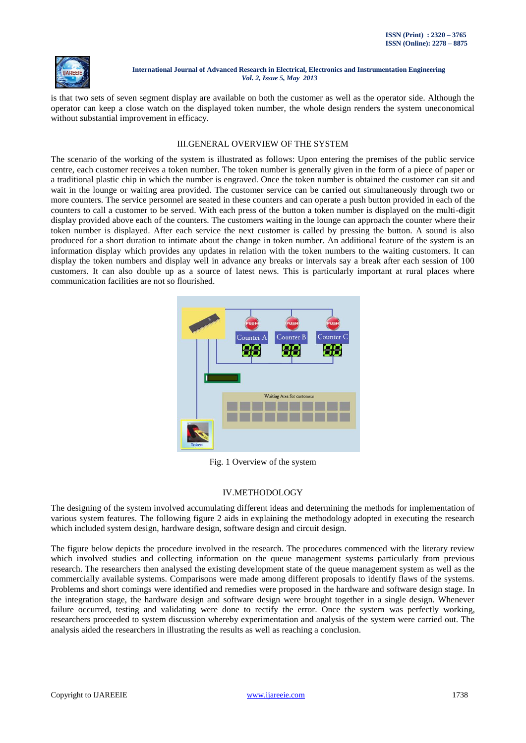

is that two sets of seven segment display are available on both the customer as well as the operator side. Although the operator can keep a close watch on the displayed token number, the whole design renders the system uneconomical without substantial improvement in efficacy.

#### III.GENERAL OVERVIEW OF THE SYSTEM

The scenario of the working of the system is illustrated as follows: Upon entering the premises of the public service centre, each customer receives a token number. The token number is generally given in the form of a piece of paper or a traditional plastic chip in which the number is engraved. Once the token number is obtained the customer can sit and wait in the lounge or waiting area provided. The customer service can be carried out simultaneously through two or more counters. The service personnel are seated in these counters and can operate a push button provided in each of the counters to call a customer to be served. With each press of the button a token number is displayed on the multi-digit display provided above each of the counters. The customers waiting in the lounge can approach the counter where their token number is displayed. After each service the next customer is called by pressing the button. A sound is also produced for a short duration to intimate about the change in token number. An additional feature of the system is an information display which provides any updates in relation with the token numbers to the waiting customers. It can display the token numbers and display well in advance any breaks or intervals say a break after each session of 100 customers. It can also double up as a source of latest news. This is particularly important at rural places where communication facilities are not so flourished.



Fig. 1 Overview of the system

## IV.METHODOLOGY

The designing of the system involved accumulating different ideas and determining the methods for implementation of various system features. The following figure 2 aids in explaining the methodology adopted in executing the research which included system design, hardware design, software design and circuit design.

The figure below depicts the procedure involved in the research. The procedures commenced with the literary review which involved studies and collecting information on the queue management systems particularly from previous research. The researchers then analysed the existing development state of the queue management system as well as the commercially available systems. Comparisons were made among different proposals to identify flaws of the systems. Problems and short comings were identified and remedies were proposed in the hardware and software design stage. In the integration stage, the hardware design and software design were brought together in a single design. Whenever failure occurred, testing and validating were done to rectify the error. Once the system was perfectly working, researchers proceeded to system discussion whereby experimentation and analysis of the system were carried out. The analysis aided the researchers in illustrating the results as well as reaching a conclusion.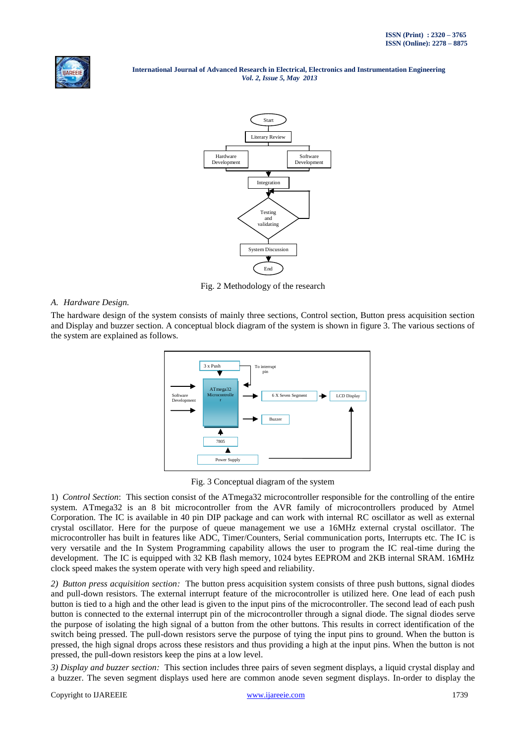



Fig. 2 Methodology of the research

## *A. Hardware Design.*

The hardware design of the system consists of mainly three sections, Control section, Button press acquisition section and Display and buzzer section. A conceptual block diagram of the system is shown in figure 3. The various sections of the system are explained as follows.



Fig. 3 Conceptual diagram of the system

1) *Control Section*: This section consist of the ATmega32 microcontroller responsible for the controlling of the entire system. ATmega32 is an 8 bit microcontroller from the AVR family of microcontrollers produced by Atmel Corporation. The IC is available in 40 pin DIP package and can work with internal RC oscillator as well as external crystal oscillator. Here for the purpose of queue management we use a 16MHz external crystal oscillator. The microcontroller has built in features like ADC, Timer/Counters, Serial communication ports, Interrupts etc. The IC is very versatile and the In System Programming capability allows the user to program the IC real-time during the development. The IC is equipped with 32 KB flash memory, 1024 bytes EEPROM and 2KB internal SRAM. 16MHz clock speed makes the system operate with very high speed and reliability.

*2) Button press acquisition section:* The button press acquisition system consists of three push buttons, signal diodes and pull-down resistors. The external interrupt feature of the microcontroller is utilized here. One lead of each push button is tied to a high and the other lead is given to the input pins of the microcontroller. The second lead of each push button is connected to the external interrupt pin of the microcontroller through a signal diode. The signal diodes serve the purpose of isolating the high signal of a button from the other buttons. This results in correct identification of the switch being pressed. The pull-down resistors serve the purpose of tying the input pins to ground. When the button is pressed, the high signal drops across these resistors and thus providing a high at the input pins. When the button is not pressed, the pull-down resistors keep the pins at a low level.

*3) Display and buzzer section:* This section includes three pairs of seven segment displays, a liquid crystal display and a buzzer. The seven segment displays used here are common anode seven segment displays. In-order to display the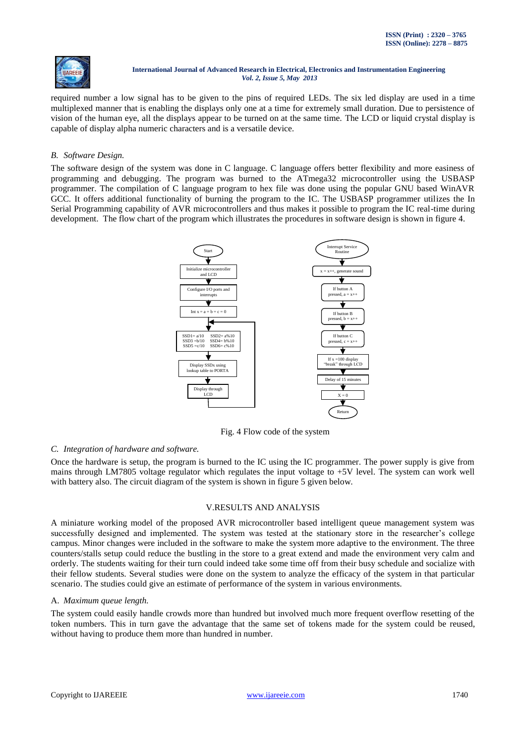

required number a low signal has to be given to the pins of required LEDs. The six led display are used in a time multiplexed manner that is enabling the displays only one at a time for extremely small duration. Due to persistence of vision of the human eye, all the displays appear to be turned on at the same time. The LCD or liquid crystal display is capable of display alpha numeric characters and is a versatile device.

## *B. Software Design.*

The software design of the system was done in C language. C language offers better flexibility and more easiness of programming and debugging. The program was burned to the ATmega32 microcontroller using the USBASP programmer. The compilation of C language program to hex file was done using the popular GNU based WinAVR GCC. It offers additional functionality of burning the program to the IC. The USBASP programmer utilizes the In Serial Programming capability of AVR microcontrollers and thus makes it possible to program the IC real-time during development. The flow chart of the program which illustrates the procedures in software design is shown in figure 4.



Fig. 4 Flow code of the system

## *C. Integration of hardware and software.*

Once the hardware is setup, the program is burned to the IC using the IC programmer. The power supply is give from mains through LM7805 voltage regulator which regulates the input voltage to +5V level. The system can work well with battery also. The circuit diagram of the system is shown in figure 5 given below.

## V.RESULTS AND ANALYSIS

A miniature working model of the proposed AVR microcontroller based intelligent queue management system was successfully designed and implemented. The system was tested at the stationary store in the researcher's college campus. Minor changes were included in the software to make the system more adaptive to the environment. The three counters/stalls setup could reduce the bustling in the store to a great extend and made the environment very calm and orderly. The students waiting for their turn could indeed take some time off from their busy schedule and socialize with their fellow students. Several studies were done on the system to analyze the efficacy of the system in that particular scenario. The studies could give an estimate of performance of the system in various environments.

#### A. *Maximum queue length.*

The system could easily handle crowds more than hundred but involved much more frequent overflow resetting of the token numbers. This in turn gave the advantage that the same set of tokens made for the system could be reused, without having to produce them more than hundred in number.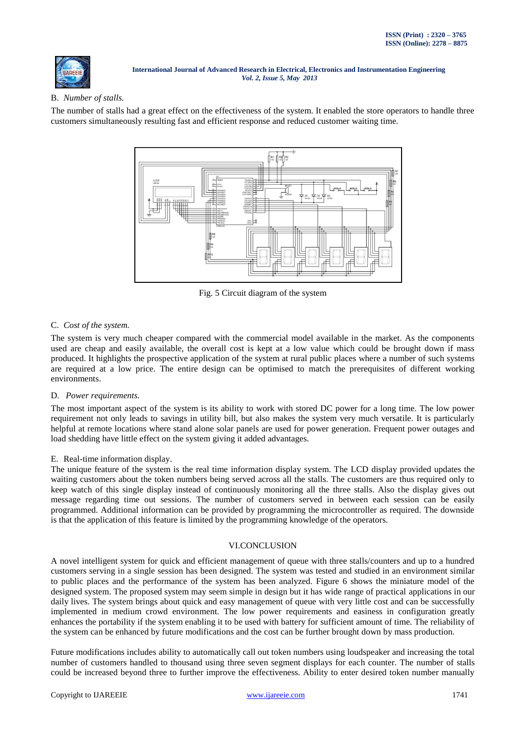

# B. *Number of stalls.*

The number of stalls had a great effect on the effectiveness of the system. It enabled the store operators to handle three customers simultaneously resulting fast and efficient response and reduced customer waiting time.



Fig. 5 Circuit diagram of the system

## C. *Cost of the system.*

The system is very much cheaper compared with the commercial model available in the market. As the components used are cheap and easily available, the overall cost is kept at a low value which could be brought down if mass produced. It highlights the prospective application of the system at rural public places where a number of such systems are required at a low price. The entire design can be optimised to match the prerequisites of different working environments.

# D. *Power requirements.*

The most important aspect of the system is its ability to work with stored DC power for a long time. The low power requirement not only leads to savings in utility bill, but also makes the system very much versatile. It is particularly helpful at remote locations where stand alone solar panels are used for power generation. Frequent power outages and load shedding have little effect on the system giving it added advantages.

# E. Real-time information display.

The unique feature of the system is the real time information display system. The LCD display provided updates the waiting customers about the token numbers being served across all the stalls. The customers are thus required only to keep watch of this single display instead of continuously monitoring all the three stalls. Also the display gives out message regarding time out sessions. The number of customers served in between each session can be easily programmed. Additional information can be provided by programming the microcontroller as required. The downside is that the application of this feature is limited by the programming knowledge of the operators.

## VI.CONCLUSION

A novel intelligent system for quick and efficient management of queue with three stalls/counters and up to a hundred customers serving in a single session has been designed. The system was tested and studied in an environment similar to public places and the performance of the system has been analyzed. Figure 6 shows the miniature model of the designed system. The proposed system may seem simple in design but it has wide range of practical applications in our daily lives. The system brings about quick and easy management of queue with very little cost and can be successfully implemented in medium crowd environment. The low power requirements and easiness in configuration greatly enhances the portability if the system enabling it to be used with battery for sufficient amount of time. The reliability of the system can be enhanced by future modifications and the cost can be further brought down by mass production.

Future modifications includes ability to automatically call out token numbers using loudspeaker and increasing the total number of customers handled to thousand using three seven segment displays for each counter. The number of stalls could be increased beyond three to further improve the effectiveness. Ability to enter desired token number manually